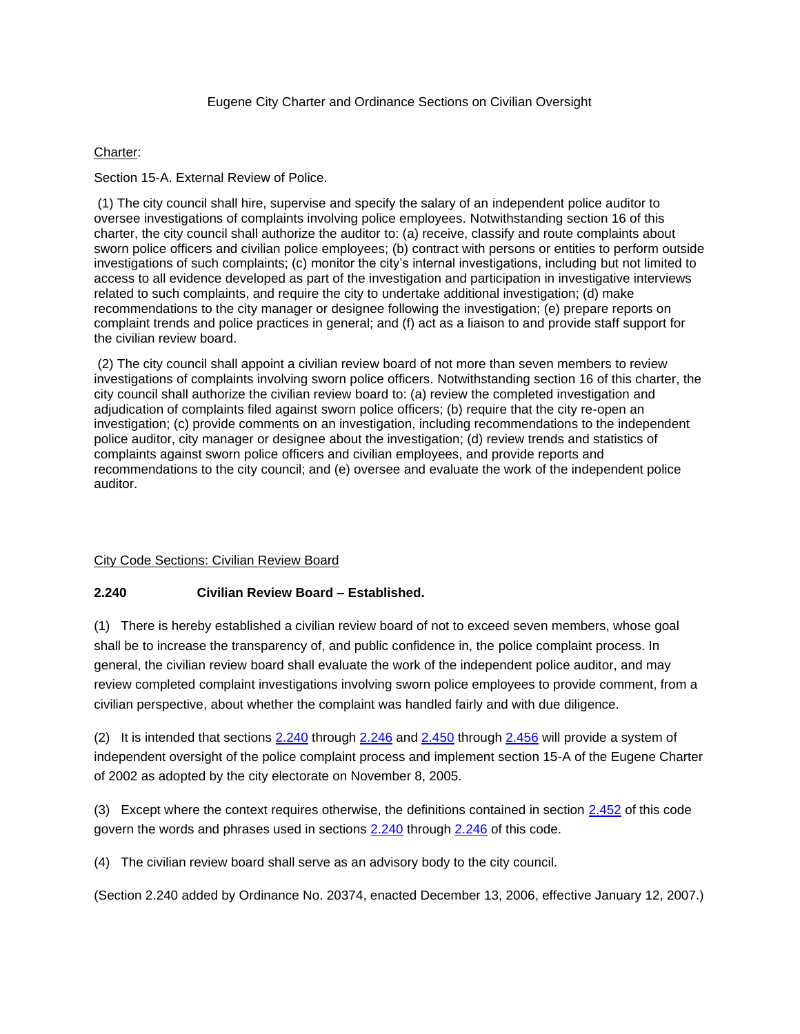### Eugene City Charter and Ordinance Sections on Civilian Oversight

### Charter:

Section 15-A. External Review of Police.

(1) The city council shall hire, supervise and specify the salary of an independent police auditor to oversee investigations of complaints involving police employees. Notwithstanding section 16 of this charter, the city council shall authorize the auditor to: (a) receive, classify and route complaints about sworn police officers and civilian police employees; (b) contract with persons or entities to perform outside investigations of such complaints; (c) monitor the city's internal investigations, including but not limited to access to all evidence developed as part of the investigation and participation in investigative interviews related to such complaints, and require the city to undertake additional investigation; (d) make recommendations to the city manager or designee following the investigation; (e) prepare reports on complaint trends and police practices in general; and (f) act as a liaison to and provide staff support for the civilian review board.

(2) The city council shall appoint a civilian review board of not more than seven members to review investigations of complaints involving sworn police officers. Notwithstanding section 16 of this charter, the city council shall authorize the civilian review board to: (a) review the completed investigation and adjudication of complaints filed against sworn police officers; (b) require that the city re-open an investigation; (c) provide comments on an investigation, including recommendations to the independent police auditor, city manager or designee about the investigation; (d) review trends and statistics of complaints against sworn police officers and civilian employees, and provide reports and recommendations to the city council; and (e) oversee and evaluate the work of the independent police auditor.

# City Code Sections: Civilian Review Board

# **2.240 Civilian Review Board – Established.**

(1) There is hereby established a civilian review board of not to exceed seven members, whose goal shall be to increase the transparency of, and public confidence in, the police complaint process. In general, the civilian review board shall evaluate the work of the independent police auditor, and may review completed complaint investigations involving sworn police employees to provide comment, from a civilian perspective, about whether the complaint was handled fairly and with due diligence.

(2) It is intended that sections [2.240](file:///C:/Users/cepdlkp/Downloads/EC%202.240.rtf%232.240) through [2.246](https://eugene.municipal.codes/EC/2.246) and [2.450](https://eugene.municipal.codes/EC/2.450) through [2.456](https://eugene.municipal.codes/EC/2.456) will provide a system of independent oversight of the police complaint process and implement section 15-A of the Eugene Charter of 2002 as adopted by the city electorate on November 8, 2005.

(3) Except where the context requires otherwise, the definitions contained in section [2.452](https://eugene.municipal.codes/EC/2.452) of this code govern the words and phrases used in sections [2.240](file:///C:/Users/cepdlkp/Downloads/EC%202.240.rtf%232.240) through [2.246](https://eugene.municipal.codes/EC/2.246) of this code.

(4) The civilian review board shall serve as an advisory body to the city council.

(Section 2.240 added by Ordinance No. 20374, enacted December 13, 2006, effective January 12, 2007.)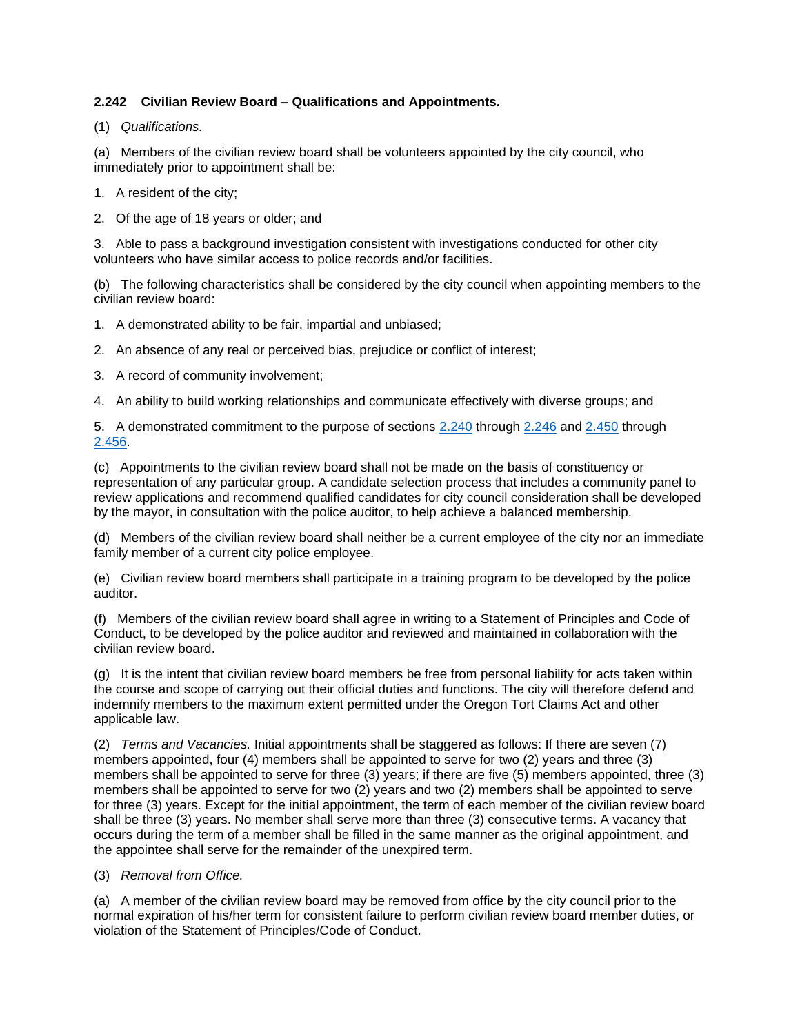# **2.242 Civilian Review Board – Qualifications and Appointments.**

(1) *Qualifications.*

(a) Members of the civilian review board shall be volunteers appointed by the city council, who immediately prior to appointment shall be:

- 1. A resident of the city;
- 2. Of the age of 18 years or older; and

3. Able to pass a background investigation consistent with investigations conducted for other city volunteers who have similar access to police records and/or facilities.

(b) The following characteristics shall be considered by the city council when appointing members to the civilian review board:

- 1. A demonstrated ability to be fair, impartial and unbiased;
- 2. An absence of any real or perceived bias, prejudice or conflict of interest;
- 3. A record of community involvement;
- 4. An ability to build working relationships and communicate effectively with diverse groups; and

5. A demonstrated commitment to the purpose of sections [2.240](https://eugene.municipal.codes/EC/2.240) through [2.246](https://eugene.municipal.codes/EC/2.246) and [2.450](https://eugene.municipal.codes/EC/2.450) through [2.456.](https://eugene.municipal.codes/EC/2.456)

(c) Appointments to the civilian review board shall not be made on the basis of constituency or representation of any particular group. A candidate selection process that includes a community panel to review applications and recommend qualified candidates for city council consideration shall be developed by the mayor, in consultation with the police auditor, to help achieve a balanced membership.

(d) Members of the civilian review board shall neither be a current employee of the city nor an immediate family member of a current city police employee.

(e) Civilian review board members shall participate in a training program to be developed by the police auditor.

(f) Members of the civilian review board shall agree in writing to a Statement of Principles and Code of Conduct, to be developed by the police auditor and reviewed and maintained in collaboration with the civilian review board.

(g) It is the intent that civilian review board members be free from personal liability for acts taken within the course and scope of carrying out their official duties and functions. The city will therefore defend and indemnify members to the maximum extent permitted under the Oregon Tort Claims Act and other applicable law.

(2) *Terms and Vacancies.* Initial appointments shall be staggered as follows: If there are seven (7) members appointed, four (4) members shall be appointed to serve for two (2) years and three (3) members shall be appointed to serve for three (3) years; if there are five (5) members appointed, three (3) members shall be appointed to serve for two (2) years and two (2) members shall be appointed to serve for three (3) years. Except for the initial appointment, the term of each member of the civilian review board shall be three (3) years. No member shall serve more than three (3) consecutive terms. A vacancy that occurs during the term of a member shall be filled in the same manner as the original appointment, and the appointee shall serve for the remainder of the unexpired term.

(3) *Removal from Office.*

(a) A member of the civilian review board may be removed from office by the city council prior to the normal expiration of his/her term for consistent failure to perform civilian review board member duties, or violation of the Statement of Principles/Code of Conduct.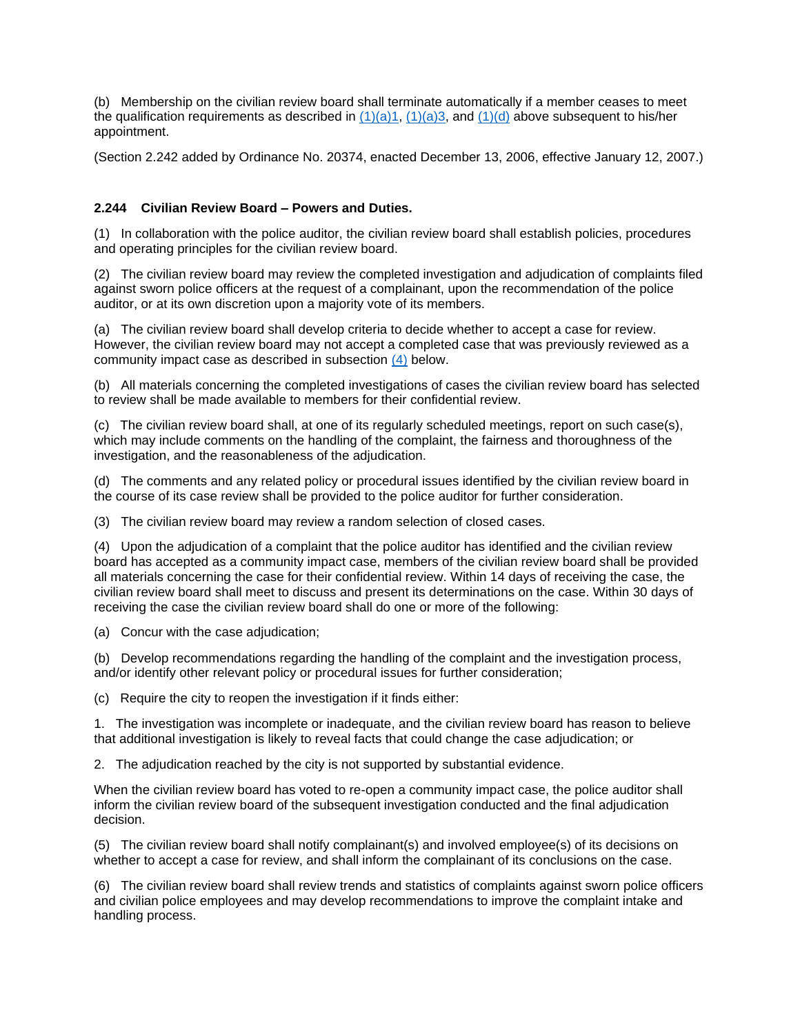(b) Membership on the civilian review board shall terminate automatically if a member ceases to meet the qualification requirements as described in  $(1)(a)1$ ,  $(1)(a)3$ , and  $(1)(d)$  above subsequent to his/her appointment.

(Section 2.242 added by Ordinance No. 20374, enacted December 13, 2006, effective January 12, 2007.)

# **2.244 Civilian Review Board – Powers and Duties.**

(1) In collaboration with the police auditor, the civilian review board shall establish policies, procedures and operating principles for the civilian review board.

(2) The civilian review board may review the completed investigation and adjudication of complaints filed against sworn police officers at the request of a complainant, upon the recommendation of the police auditor, or at its own discretion upon a majority vote of its members.

(a) The civilian review board shall develop criteria to decide whether to accept a case for review. However, the civilian review board may not accept a completed case that was previously reviewed as a community impact case as described in subsection [\(4\)](file:///C:/Users/cepdlkp/Downloads/EC%202.244.rtf%232.244(4)) below.

(b) All materials concerning the completed investigations of cases the civilian review board has selected to review shall be made available to members for their confidential review.

(c) The civilian review board shall, at one of its regularly scheduled meetings, report on such case(s), which may include comments on the handling of the complaint, the fairness and thoroughness of the investigation, and the reasonableness of the adjudication.

(d) The comments and any related policy or procedural issues identified by the civilian review board in the course of its case review shall be provided to the police auditor for further consideration.

(3) The civilian review board may review a random selection of closed cases.

(4) Upon the adjudication of a complaint that the police auditor has identified and the civilian review board has accepted as a community impact case, members of the civilian review board shall be provided all materials concerning the case for their confidential review. Within 14 days of receiving the case, the civilian review board shall meet to discuss and present its determinations on the case. Within 30 days of receiving the case the civilian review board shall do one or more of the following:

(a) Concur with the case adjudication;

(b) Develop recommendations regarding the handling of the complaint and the investigation process, and/or identify other relevant policy or procedural issues for further consideration;

(c) Require the city to reopen the investigation if it finds either:

1. The investigation was incomplete or inadequate, and the civilian review board has reason to believe that additional investigation is likely to reveal facts that could change the case adjudication; or

2. The adjudication reached by the city is not supported by substantial evidence.

When the civilian review board has voted to re-open a community impact case, the police auditor shall inform the civilian review board of the subsequent investigation conducted and the final adjudication decision.

(5) The civilian review board shall notify complainant(s) and involved employee(s) of its decisions on whether to accept a case for review, and shall inform the complainant of its conclusions on the case.

(6) The civilian review board shall review trends and statistics of complaints against sworn police officers and civilian police employees and may develop recommendations to improve the complaint intake and handling process.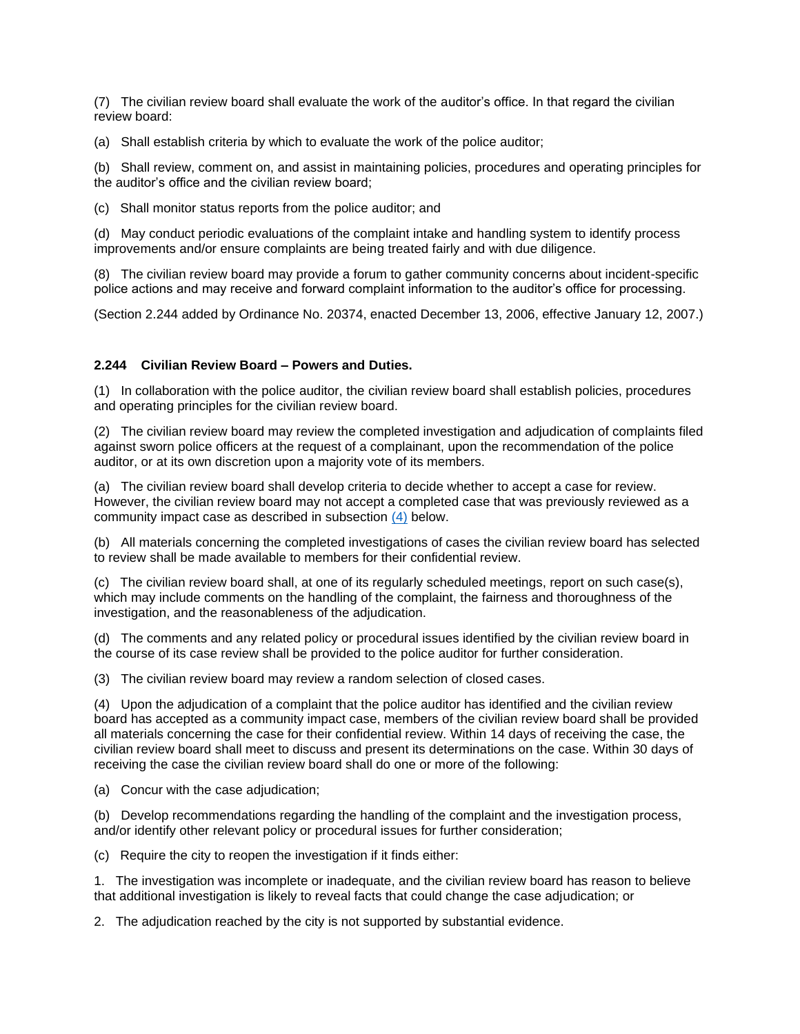(7) The civilian review board shall evaluate the work of the auditor's office. In that regard the civilian review board:

(a) Shall establish criteria by which to evaluate the work of the police auditor;

(b) Shall review, comment on, and assist in maintaining policies, procedures and operating principles for the auditor's office and the civilian review board;

(c) Shall monitor status reports from the police auditor; and

(d) May conduct periodic evaluations of the complaint intake and handling system to identify process improvements and/or ensure complaints are being treated fairly and with due diligence.

(8) The civilian review board may provide a forum to gather community concerns about incident-specific police actions and may receive and forward complaint information to the auditor's office for processing.

(Section 2.244 added by Ordinance No. 20374, enacted December 13, 2006, effective January 12, 2007.)

### **2.244 Civilian Review Board – Powers and Duties.**

(1) In collaboration with the police auditor, the civilian review board shall establish policies, procedures and operating principles for the civilian review board.

(2) The civilian review board may review the completed investigation and adjudication of complaints filed against sworn police officers at the request of a complainant, upon the recommendation of the police auditor, or at its own discretion upon a majority vote of its members.

(a) The civilian review board shall develop criteria to decide whether to accept a case for review. However, the civilian review board may not accept a completed case that was previously reviewed as a community impact case as described in subsection [\(4\)](file:///C:/Users/cepdlkp/Downloads/EC%202.244.rtf%232.244(4)) below.

(b) All materials concerning the completed investigations of cases the civilian review board has selected to review shall be made available to members for their confidential review.

(c) The civilian review board shall, at one of its regularly scheduled meetings, report on such case(s), which may include comments on the handling of the complaint, the fairness and thoroughness of the investigation, and the reasonableness of the adjudication.

(d) The comments and any related policy or procedural issues identified by the civilian review board in the course of its case review shall be provided to the police auditor for further consideration.

(3) The civilian review board may review a random selection of closed cases.

(4) Upon the adjudication of a complaint that the police auditor has identified and the civilian review board has accepted as a community impact case, members of the civilian review board shall be provided all materials concerning the case for their confidential review. Within 14 days of receiving the case, the civilian review board shall meet to discuss and present its determinations on the case. Within 30 days of receiving the case the civilian review board shall do one or more of the following:

(a) Concur with the case adjudication;

(b) Develop recommendations regarding the handling of the complaint and the investigation process, and/or identify other relevant policy or procedural issues for further consideration;

(c) Require the city to reopen the investigation if it finds either:

1. The investigation was incomplete or inadequate, and the civilian review board has reason to believe that additional investigation is likely to reveal facts that could change the case adjudication; or

2. The adjudication reached by the city is not supported by substantial evidence.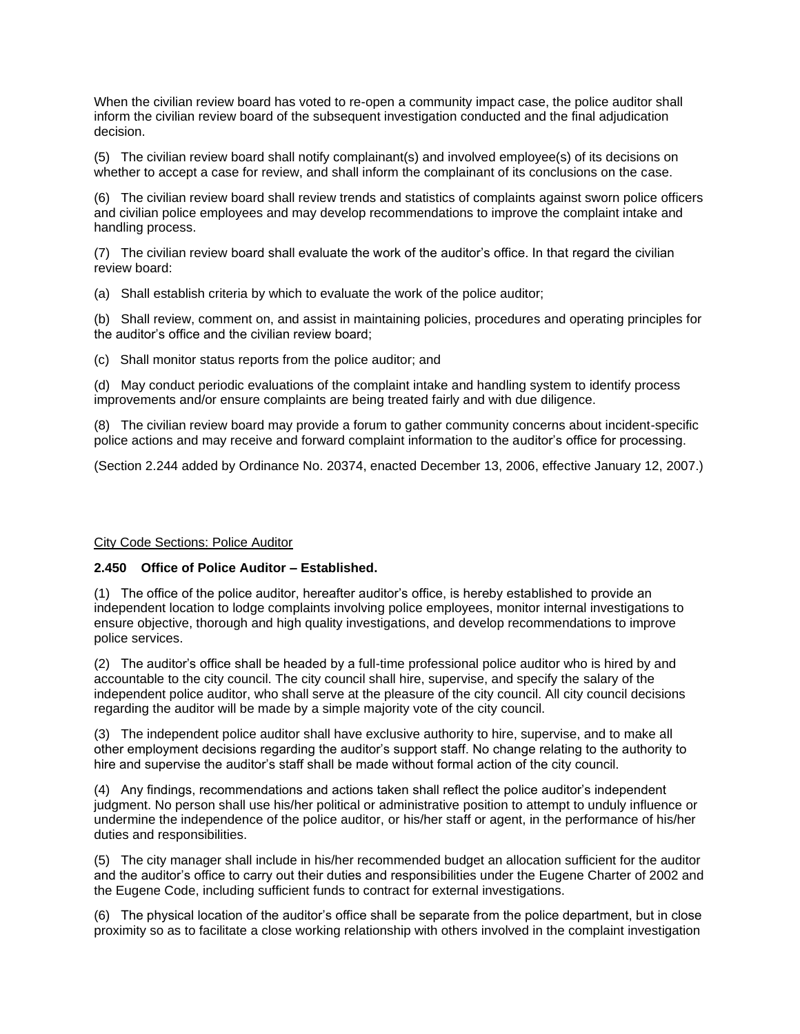When the civilian review board has voted to re-open a community impact case, the police auditor shall inform the civilian review board of the subsequent investigation conducted and the final adjudication decision.

(5) The civilian review board shall notify complainant(s) and involved employee(s) of its decisions on whether to accept a case for review, and shall inform the complainant of its conclusions on the case.

(6) The civilian review board shall review trends and statistics of complaints against sworn police officers and civilian police employees and may develop recommendations to improve the complaint intake and handling process.

(7) The civilian review board shall evaluate the work of the auditor's office. In that regard the civilian review board:

(a) Shall establish criteria by which to evaluate the work of the police auditor;

(b) Shall review, comment on, and assist in maintaining policies, procedures and operating principles for the auditor's office and the civilian review board;

(c) Shall monitor status reports from the police auditor; and

(d) May conduct periodic evaluations of the complaint intake and handling system to identify process improvements and/or ensure complaints are being treated fairly and with due diligence.

(8) The civilian review board may provide a forum to gather community concerns about incident-specific police actions and may receive and forward complaint information to the auditor's office for processing.

(Section 2.244 added by Ordinance No. 20374, enacted December 13, 2006, effective January 12, 2007.)

### City Code Sections: Police Auditor

### **2.450 Office of Police Auditor – Established.**

(1) The office of the police auditor, hereafter auditor's office, is hereby established to provide an independent location to lodge complaints involving police employees, monitor internal investigations to ensure objective, thorough and high quality investigations, and develop recommendations to improve police services.

(2) The auditor's office shall be headed by a full-time professional police auditor who is hired by and accountable to the city council. The city council shall hire, supervise, and specify the salary of the independent police auditor, who shall serve at the pleasure of the city council. All city council decisions regarding the auditor will be made by a simple majority vote of the city council.

(3) The independent police auditor shall have exclusive authority to hire, supervise, and to make all other employment decisions regarding the auditor's support staff. No change relating to the authority to hire and supervise the auditor's staff shall be made without formal action of the city council.

(4) Any findings, recommendations and actions taken shall reflect the police auditor's independent judgment. No person shall use his/her political or administrative position to attempt to unduly influence or undermine the independence of the police auditor, or his/her staff or agent, in the performance of his/her duties and responsibilities.

(5) The city manager shall include in his/her recommended budget an allocation sufficient for the auditor and the auditor's office to carry out their duties and responsibilities under the Eugene Charter of 2002 and the Eugene Code, including sufficient funds to contract for external investigations.

(6) The physical location of the auditor's office shall be separate from the police department, but in close proximity so as to facilitate a close working relationship with others involved in the complaint investigation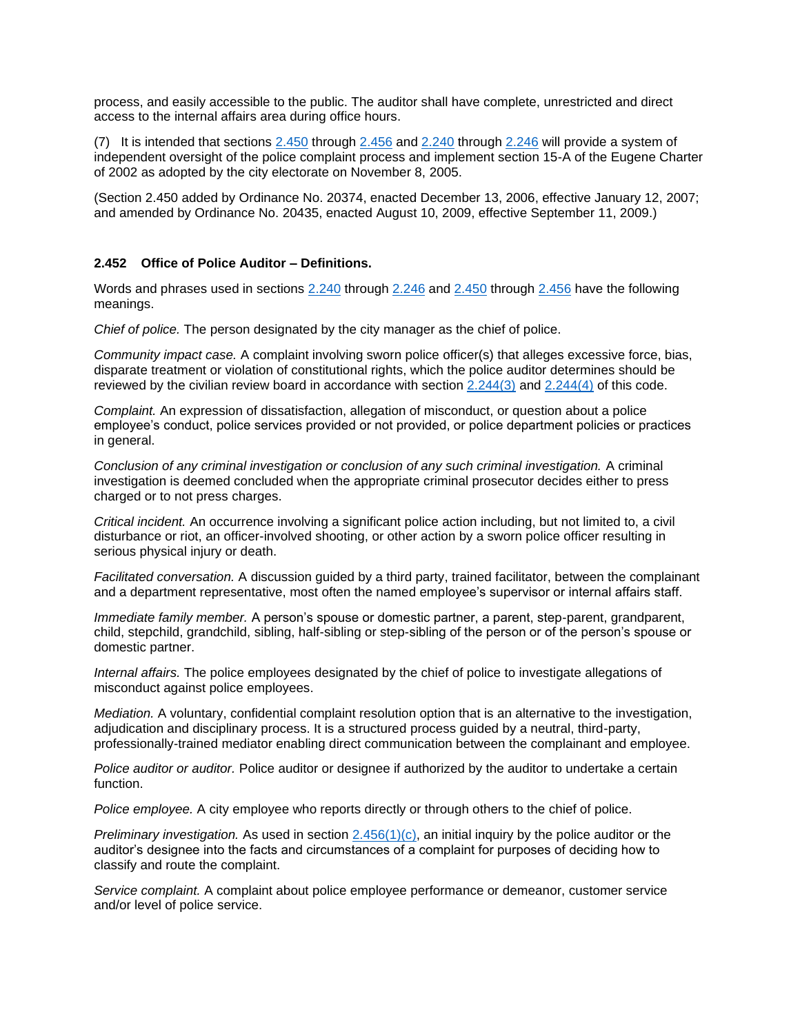process, and easily accessible to the public. The auditor shall have complete, unrestricted and direct access to the internal affairs area during office hours.

(7) It is intended that sections  $2.450$  through  $2.456$  and  $2.240$  through  $2.246$  will provide a system of independent oversight of the police complaint process and implement section 15-A of the Eugene Charter of 2002 as adopted by the city electorate on November 8, 2005.

(Section 2.450 added by Ordinance No. 20374, enacted December 13, 2006, effective January 12, 2007; and amended by Ordinance No. 20435, enacted August 10, 2009, effective September 11, 2009.)

#### **2.452 Office of Police Auditor – Definitions.**

Words and phrases used in sections [2.240](https://eugene.municipal.codes/EC/2.240) through [2.246](https://eugene.municipal.codes/EC/2.246) and [2.450](https://eugene.municipal.codes/EC/2.450) through [2.456](https://eugene.municipal.codes/EC/2.456) have the following meanings.

*Chief of police.* The person designated by the city manager as the chief of police.

*Community impact case.* A complaint involving sworn police officer(s) that alleges excessive force, bias, disparate treatment or violation of constitutional rights, which the police auditor determines should be reviewed by the civilian review board in accordance with section  $2.244(3)$  and  $2.244(4)$  of this code.

*Complaint.* An expression of dissatisfaction, allegation of misconduct, or question about a police employee's conduct, police services provided or not provided, or police department policies or practices in general.

*Conclusion of any criminal investigation or conclusion of any such criminal investigation.* A criminal investigation is deemed concluded when the appropriate criminal prosecutor decides either to press charged or to not press charges.

*Critical incident.* An occurrence involving a significant police action including, but not limited to, a civil disturbance or riot, an officer-involved shooting, or other action by a sworn police officer resulting in serious physical injury or death.

*Facilitated conversation.* A discussion guided by a third party, trained facilitator, between the complainant and a department representative, most often the named employee's supervisor or internal affairs staff.

*Immediate family member.* A person's spouse or domestic partner, a parent, step-parent, grandparent, child, stepchild, grandchild, sibling, half-sibling or step-sibling of the person or of the person's spouse or domestic partner.

*Internal affairs.* The police employees designated by the chief of police to investigate allegations of misconduct against police employees.

*Mediation.* A voluntary, confidential complaint resolution option that is an alternative to the investigation, adjudication and disciplinary process. It is a structured process guided by a neutral, third-party, professionally-trained mediator enabling direct communication between the complainant and employee.

*Police auditor or auditor.* Police auditor or designee if authorized by the auditor to undertake a certain function.

*Police employee.* A city employee who reports directly or through others to the chief of police.

*Preliminary investigation.* As used in section [2.456\(1\)\(c\),](https://eugene.municipal.codes/EC/2.456(1)(c)) an initial inquiry by the police auditor or the auditor's designee into the facts and circumstances of a complaint for purposes of deciding how to classify and route the complaint.

*Service complaint.* A complaint about police employee performance or demeanor, customer service and/or level of police service.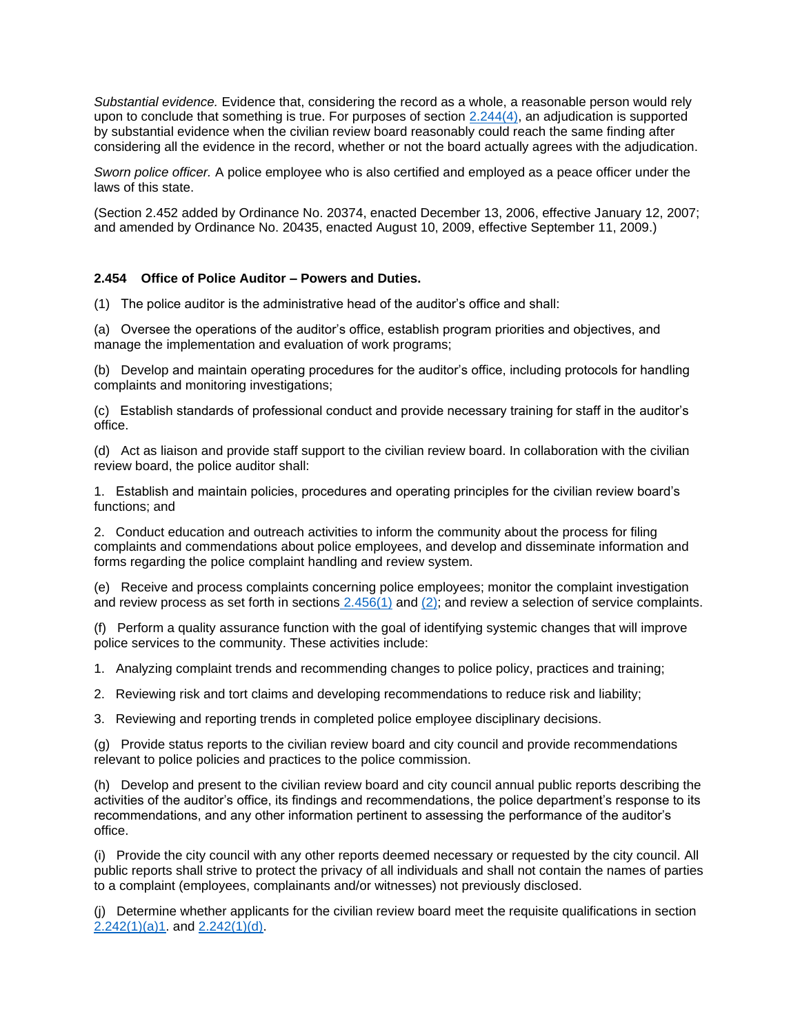*Substantial evidence.* Evidence that, considering the record as a whole, a reasonable person would rely upon to conclude that something is true. For purposes of section [2.244\(4\),](https://eugene.municipal.codes/EC/2.244(4)) an adjudication is supported by substantial evidence when the civilian review board reasonably could reach the same finding after considering all the evidence in the record, whether or not the board actually agrees with the adjudication.

*Sworn police officer.* A police employee who is also certified and employed as a peace officer under the laws of this state.

(Section 2.452 added by Ordinance No. 20374, enacted December 13, 2006, effective January 12, 2007; and amended by Ordinance No. 20435, enacted August 10, 2009, effective September 11, 2009.)

#### **2.454 Office of Police Auditor – Powers and Duties.**

(1) The police auditor is the administrative head of the auditor's office and shall:

(a) Oversee the operations of the auditor's office, establish program priorities and objectives, and manage the implementation and evaluation of work programs;

(b) Develop and maintain operating procedures for the auditor's office, including protocols for handling complaints and monitoring investigations;

(c) Establish standards of professional conduct and provide necessary training for staff in the auditor's office.

(d) Act as liaison and provide staff support to the civilian review board. In collaboration with the civilian review board, the police auditor shall:

1. Establish and maintain policies, procedures and operating principles for the civilian review board's functions; and

2. Conduct education and outreach activities to inform the community about the process for filing complaints and commendations about police employees, and develop and disseminate information and forms regarding the police complaint handling and review system.

(e) Receive and process complaints concerning police employees; monitor the complaint investigation and review process as set forth in sections  $2.456(1)$  and  $(2)$ ; and review a selection of service complaints.

(f) Perform a quality assurance function with the goal of identifying systemic changes that will improve police services to the community. These activities include:

1. Analyzing complaint trends and recommending changes to police policy, practices and training;

2. Reviewing risk and tort claims and developing recommendations to reduce risk and liability;

3. Reviewing and reporting trends in completed police employee disciplinary decisions.

(g) Provide status reports to the civilian review board and city council and provide recommendations relevant to police policies and practices to the police commission.

(h) Develop and present to the civilian review board and city council annual public reports describing the activities of the auditor's office, its findings and recommendations, the police department's response to its recommendations, and any other information pertinent to assessing the performance of the auditor's office.

(i) Provide the city council with any other reports deemed necessary or requested by the city council. All public reports shall strive to protect the privacy of all individuals and shall not contain the names of parties to a complaint (employees, complainants and/or witnesses) not previously disclosed.

(j) Determine whether applicants for the civilian review board meet the requisite qualifications in section  $2.242(1)(a)1.$  and  $2.242(1)(d)$ .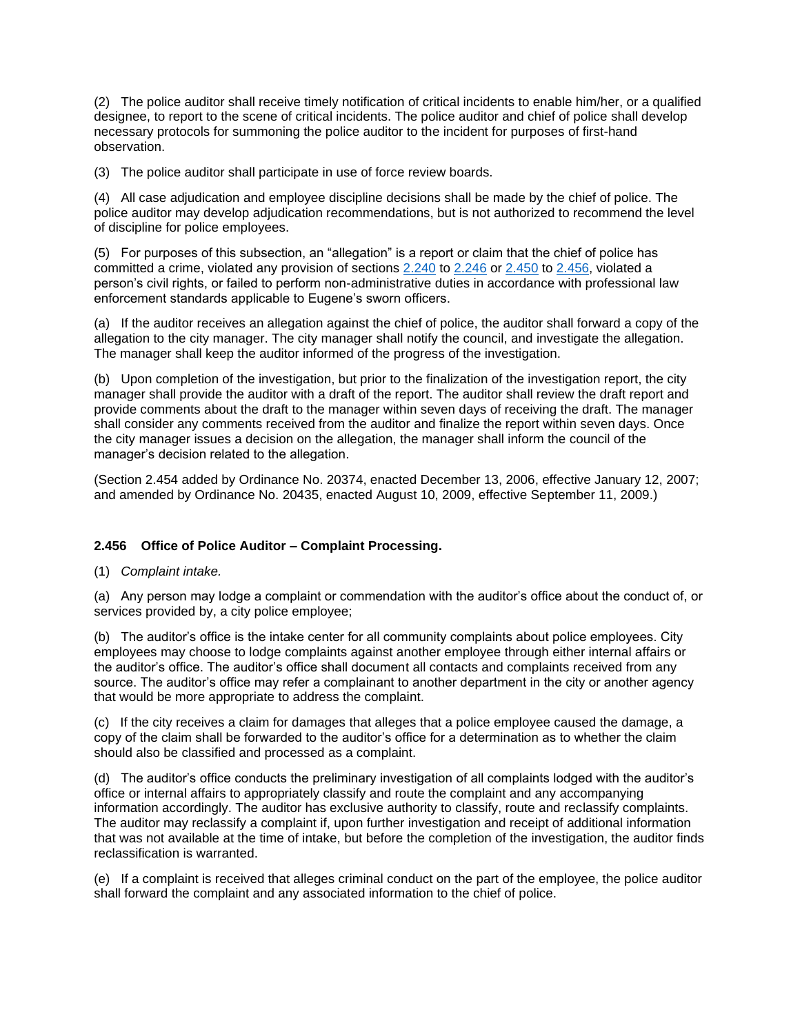(2) The police auditor shall receive timely notification of critical incidents to enable him/her, or a qualified designee, to report to the scene of critical incidents. The police auditor and chief of police shall develop necessary protocols for summoning the police auditor to the incident for purposes of first-hand observation.

(3) The police auditor shall participate in use of force review boards.

(4) All case adjudication and employee discipline decisions shall be made by the chief of police. The police auditor may develop adjudication recommendations, but is not authorized to recommend the level of discipline for police employees.

(5) For purposes of this subsection, an "allegation" is a report or claim that the chief of police has committed a crime, violated any provision of sections [2.240](https://eugene.municipal.codes/EC/2.240) to [2.246](https://eugene.municipal.codes/EC/2.246) or [2.450](https://eugene.municipal.codes/EC/2.450) to [2.456,](https://eugene.municipal.codes/EC/2.456) violated a person's civil rights, or failed to perform non-administrative duties in accordance with professional law enforcement standards applicable to Eugene's sworn officers.

(a) If the auditor receives an allegation against the chief of police, the auditor shall forward a copy of the allegation to the city manager. The city manager shall notify the council, and investigate the allegation. The manager shall keep the auditor informed of the progress of the investigation.

(b) Upon completion of the investigation, but prior to the finalization of the investigation report, the city manager shall provide the auditor with a draft of the report. The auditor shall review the draft report and provide comments about the draft to the manager within seven days of receiving the draft. The manager shall consider any comments received from the auditor and finalize the report within seven days. Once the city manager issues a decision on the allegation, the manager shall inform the council of the manager's decision related to the allegation.

(Section 2.454 added by Ordinance No. 20374, enacted December 13, 2006, effective January 12, 2007; and amended by Ordinance No. 20435, enacted August 10, 2009, effective September 11, 2009.)

# **2.456 Office of Police Auditor – Complaint Processing.**

(1) *Complaint intake.*

(a) Any person may lodge a complaint or commendation with the auditor's office about the conduct of, or services provided by, a city police employee;

(b) The auditor's office is the intake center for all community complaints about police employees. City employees may choose to lodge complaints against another employee through either internal affairs or the auditor's office. The auditor's office shall document all contacts and complaints received from any source. The auditor's office may refer a complainant to another department in the city or another agency that would be more appropriate to address the complaint.

(c) If the city receives a claim for damages that alleges that a police employee caused the damage, a copy of the claim shall be forwarded to the auditor's office for a determination as to whether the claim should also be classified and processed as a complaint.

(d) The auditor's office conducts the preliminary investigation of all complaints lodged with the auditor's office or internal affairs to appropriately classify and route the complaint and any accompanying information accordingly. The auditor has exclusive authority to classify, route and reclassify complaints. The auditor may reclassify a complaint if, upon further investigation and receipt of additional information that was not available at the time of intake, but before the completion of the investigation, the auditor finds reclassification is warranted.

(e) If a complaint is received that alleges criminal conduct on the part of the employee, the police auditor shall forward the complaint and any associated information to the chief of police.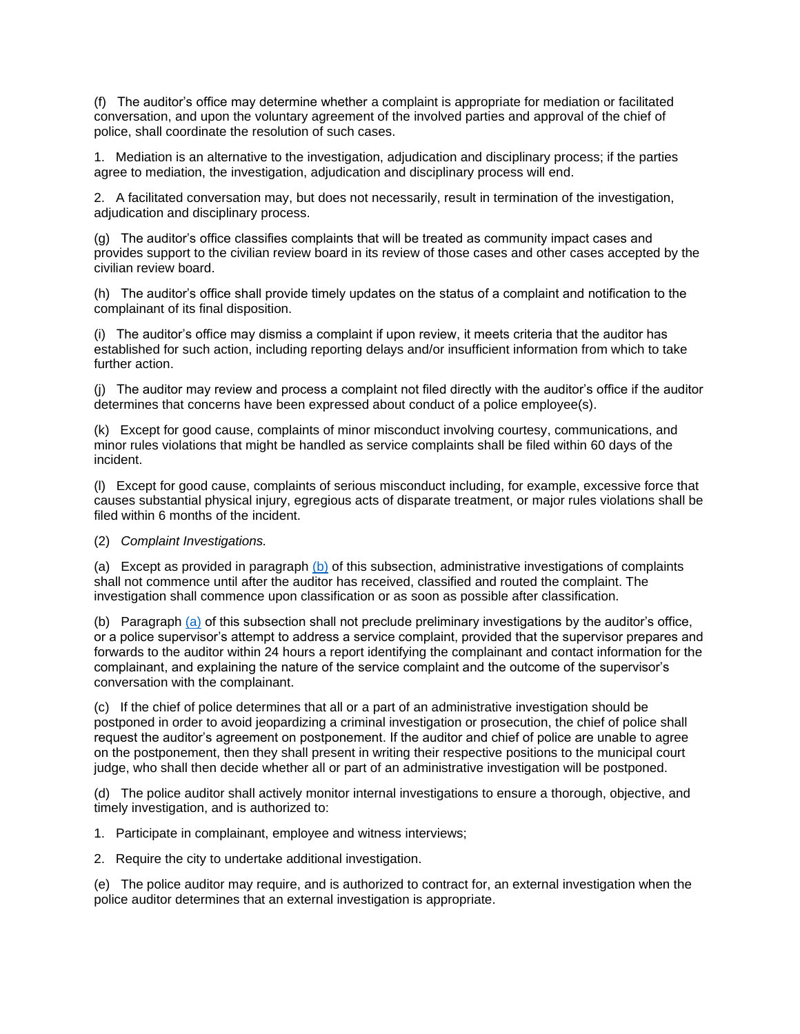(f) The auditor's office may determine whether a complaint is appropriate for mediation or facilitated conversation, and upon the voluntary agreement of the involved parties and approval of the chief of police, shall coordinate the resolution of such cases.

1. Mediation is an alternative to the investigation, adjudication and disciplinary process; if the parties agree to mediation, the investigation, adjudication and disciplinary process will end.

2. A facilitated conversation may, but does not necessarily, result in termination of the investigation, adjudication and disciplinary process.

(g) The auditor's office classifies complaints that will be treated as community impact cases and provides support to the civilian review board in its review of those cases and other cases accepted by the civilian review board.

(h) The auditor's office shall provide timely updates on the status of a complaint and notification to the complainant of its final disposition.

(i) The auditor's office may dismiss a complaint if upon review, it meets criteria that the auditor has established for such action, including reporting delays and/or insufficient information from which to take further action.

(j) The auditor may review and process a complaint not filed directly with the auditor's office if the auditor determines that concerns have been expressed about conduct of a police employee(s).

(k) Except for good cause, complaints of minor misconduct involving courtesy, communications, and minor rules violations that might be handled as service complaints shall be filed within 60 days of the incident.

(l) Except for good cause, complaints of serious misconduct including, for example, excessive force that causes substantial physical injury, egregious acts of disparate treatment, or major rules violations shall be filed within 6 months of the incident.

### (2) *Complaint Investigations.*

(a) Except as provided in paragraph  $(b)$  of this subsection, administrative investigations of complaints shall not commence until after the auditor has received, classified and routed the complaint. The investigation shall commence upon classification or as soon as possible after classification.

(b) Paragraph [\(a\)](file:///C:/Users/cepdlkp/Downloads/EC%202.456.rtf%232.456(2)(a)) of this subsection shall not preclude preliminary investigations by the auditor's office, or a police supervisor's attempt to address a service complaint, provided that the supervisor prepares and forwards to the auditor within 24 hours a report identifying the complainant and contact information for the complainant, and explaining the nature of the service complaint and the outcome of the supervisor's conversation with the complainant.

(c) If the chief of police determines that all or a part of an administrative investigation should be postponed in order to avoid jeopardizing a criminal investigation or prosecution, the chief of police shall request the auditor's agreement on postponement. If the auditor and chief of police are unable to agree on the postponement, then they shall present in writing their respective positions to the municipal court judge, who shall then decide whether all or part of an administrative investigation will be postponed.

(d) The police auditor shall actively monitor internal investigations to ensure a thorough, objective, and timely investigation, and is authorized to:

1. Participate in complainant, employee and witness interviews;

2. Require the city to undertake additional investigation.

(e) The police auditor may require, and is authorized to contract for, an external investigation when the police auditor determines that an external investigation is appropriate.